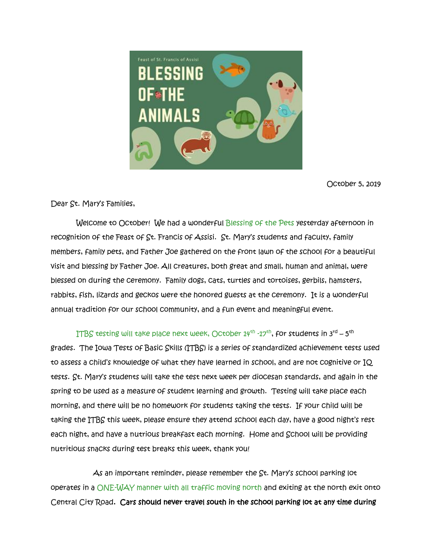

October 5, 2019

Dear St. Mary's Families,

Welcome to October! We had a wonderful Blessing of the Pets yesterday afternoon in recognition of the Feast of St. Francis of Assisi. St. Mary's students and faculty, family members, family pets, and Father Joe gathered on the front lawn of the school for a beautiful visit and blessing by Father Joe. All creatures, both great and small, human and animal, were blessed on during the ceremony. Family dogs, cats, turtles and tortoises, gerbils, hamsters, rabbits, fish, lizards and geckos were the honored guests at the ceremony. It is a wonderful annual tradition for our school community, and a fun event and meaningful event.

<code>ITBS</code> testing will take place next week, October 14<sup>th</sup> -17<sup>th</sup>, for students in 3<sup>rd</sup> – 5<sup>th</sup> grades. The Iowa Tests of Basic Skills (ITBS) is a series of standardized achievement tests used to assess a child's knowledge of what they have learned in school, and are not cognitive or IQ tests. St. Mary's students will take the test next week per diocesan standards, and again in the spring to be used as a measure of student learning and growth. Testing will take place each morning, and there will be no homework for students taking the tests. If your child will be taking the ITBS this week, please ensure they attend school each day, have a good night's rest each night, and have a nutrious breakfast each morning. Home and School will be providing nutritious snacks during test breaks this week, thank you!

 As an important reminder, please remember the St. Mary's school parking lot operates in a ONE-WAY manner with all traffic moving north and exiting at the north exit onto Central City Road. Cars should never travel south in the school parking lot at any time during